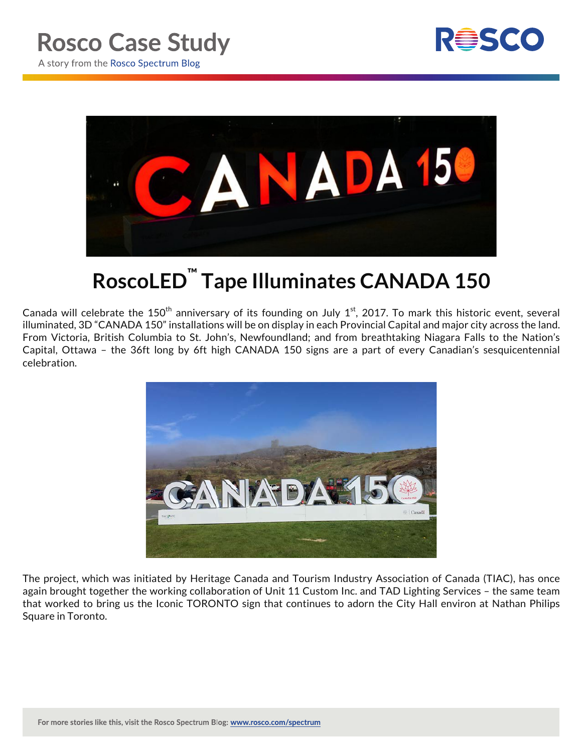



## **RoscoLED™ Tape Illuminates CANADA 150**

Canada will celebrate the 150<sup>th</sup> anniversary of its founding on July 1<sup>st</sup>, 2017. To mark this historic event, several illuminated, 3D "CANADA 150" installations will be on display in each Provincial Capital and major city across the land. From Victoria, British Columbia to St. John's, Newfoundland; and from breathtaking Niagara Falls to the Nation's Capital, Ottawa – the 36ft long by 6ft high CANADA 150 signs are a part of every Canadian's sesquicentennial celebration.



The project, which was initiated by Heritage Canada and Tourism Industry Association of Canada (TIAC), has once again brought together the working collaboration of Unit 11 Custom Inc. and TAD Lighting Services – the same team that worked to bring us the Iconic TORONTO sign that continues to adorn the City Hall environ at Nathan Philips Square in Toronto.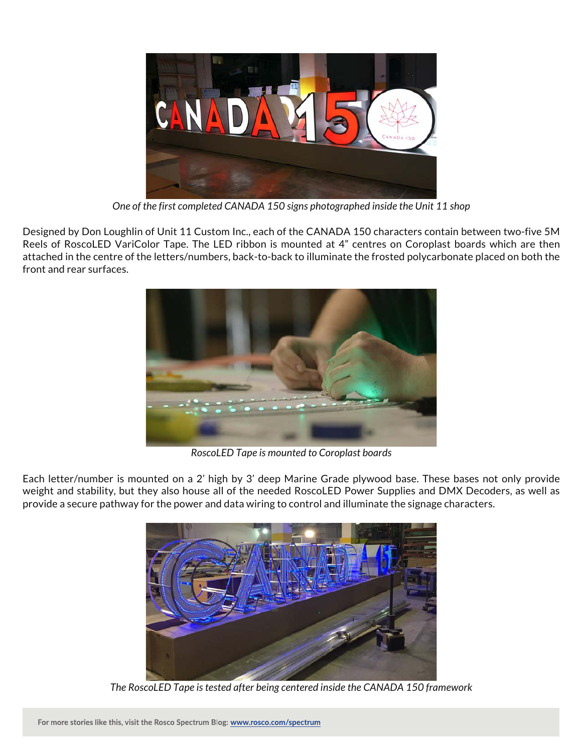

*One of the first completed CANADA 150 signs photographed inside the Unit 11 shop*

Designed by Don Loughlin of Unit 11 Custom Inc., each of the CANADA 150 characters contain between two-five 5M Reels of RoscoLED VariColor Tape. The LED ribbon is mounted at 4" centres on Coroplast boards which are then attached in the centre of the letters/numbers, back-to-back to illuminate the frosted polycarbonate placed on both the front and rear surfaces.



*RoscoLED Tape is mounted to Coroplast boards*

Each letter/number is mounted on a 2' high by 3' deep Marine Grade plywood base. These bases not only provide weight and stability, but they also house all of the needed RoscoLED Power Supplies and DMX Decoders, as well as provide a secure pathway for the power and data wiring to control and illuminate the signage characters.



*The RoscoLED Tape is tested after being centered inside the CANADA 150 framework*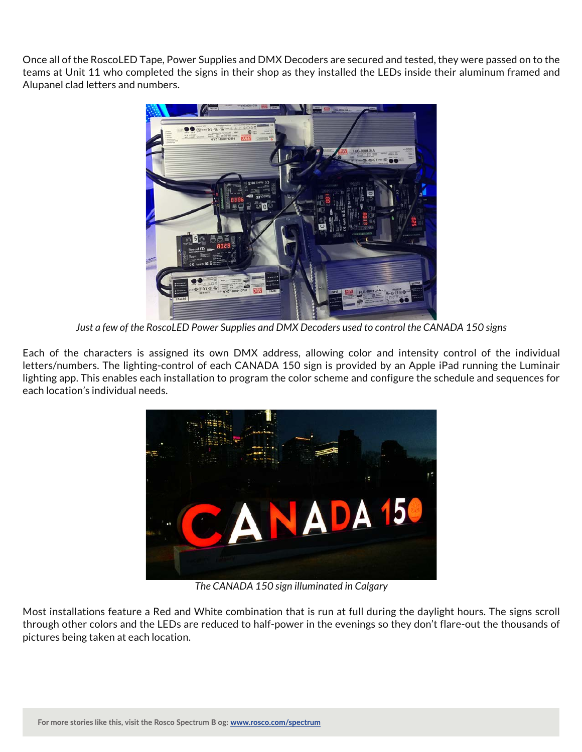Once all of the RoscoLED Tape, Power Supplies and DMX Decoders are secured and tested, they were passed on to the teams at Unit 11 who completed the signs in their shop as they installed the LEDs inside their aluminum framed and Alupanel clad letters and numbers.



*Just a few of the RoscoLED Power Supplies and DMX Decoders used to control the CANADA 150 signs*

Each of the characters is assigned its own DMX address, allowing color and intensity control of the individual letters/numbers. The lighting-control of each CANADA 150 sign is provided by an Apple iPad running the Luminair lighting app. This enables each installation to program the color scheme and configure the schedule and sequences for each location's individual needs.



*The CANADA 150 sign illuminated in Calgary*

Most installations feature a Red and White combination that is run at full during the daylight hours. The signs scroll through other colors and the LEDs are reduced to half-power in the evenings so they don't flare-out the thousands of pictures being taken at each location.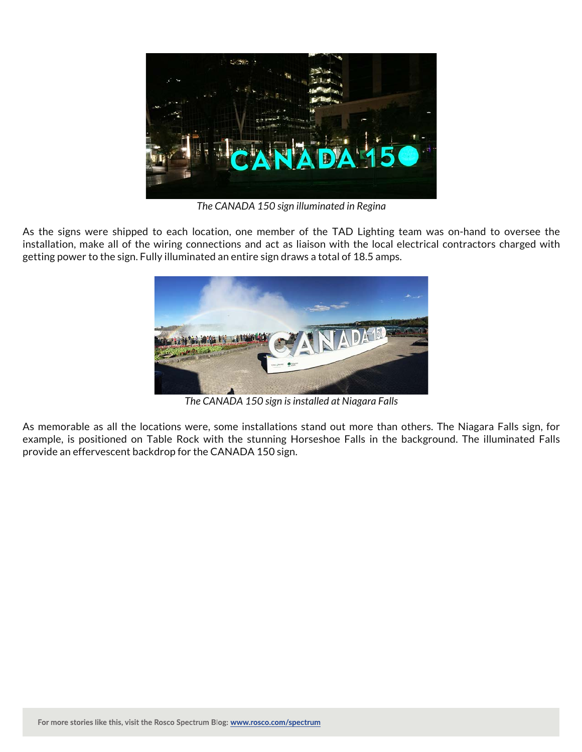

*The CANADA 150 sign illuminated in Regina*

As the signs were shipped to each location, one member of the TAD Lighting team was on-hand to oversee the installation, make all of the wiring connections and act as liaison with the local electrical contractors charged with getting power to the sign. Fully illuminated an entire sign draws a total of 18.5 amps.



*The CANADA 150 sign is installed at Niagara Falls*

As memorable as all the locations were, some installations stand out more than others. The Niagara Falls sign, for example, is positioned on Table Rock with the stunning Horseshoe Falls in the background. The illuminated Falls provide an effervescent backdrop for the CANADA 150 sign.